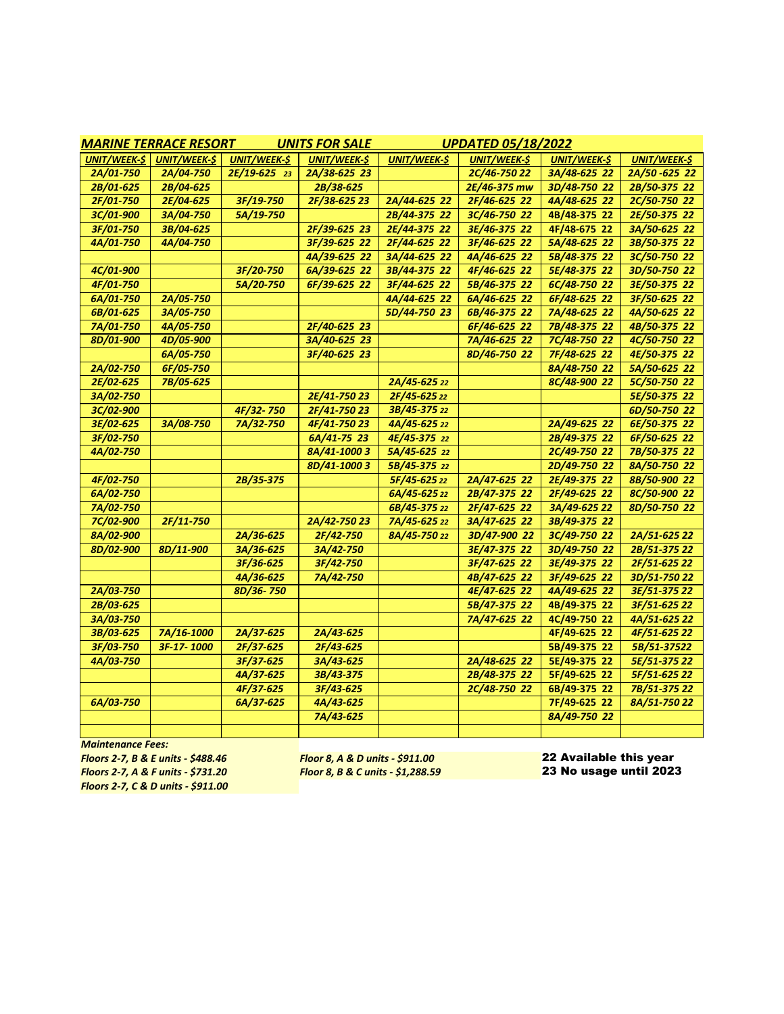| <b>MARINE TERRACE RESORT</b> |                     |                     | <b>UNITS FOR SALE</b> | <b>UPDATED 05/18/2022</b> |              |                    |                     |
|------------------------------|---------------------|---------------------|-----------------------|---------------------------|--------------|--------------------|---------------------|
| <b>UNIT/WEEK-\$</b>          | <b>UNIT/WEEK-\$</b> | <b>UNIT/WEEK-\$</b> | <b>UNIT/WEEK-\$</b>   | <b>UNIT/WEEK-\$</b>       | UNIT/WEEK-\$ | <b>UNIT/WEEK-S</b> | <b>UNIT/WEEK-\$</b> |
| 2A/01-750                    | 2A/04-750           | 2E/19-625 23        | 2A/38-625 23          |                           | 2C/46-750 22 | 3A/48-625 22       | 2A/50-625 22        |
| 2B/01-625                    | 2B/04-625           |                     | 2B/38-625             |                           | 2E/46-375 mw | 3D/48-750 22       | 2B/50-375 22        |
| 2F/01-750                    | 2E/04-625           | 3F/19-750           | 2F/38-625 23          | 2A/44-625 22              | 2F/46-625 22 | 4A/48-625 22       | 2C/50-750 22        |
| 3C/01-900                    | 3A/04-750           | 5A/19-750           |                       | 2B/44-375 22              | 3C/46-750 22 | 4B/48-375 22       | 2E/50-375 22        |
| 3F/01-750                    | 3B/04-625           |                     | 2F/39-625 23          | 2E/44-375 22              | 3E/46-375 22 | 4F/48-675 22       | 3A/50-625 22        |
| 4A/01-750                    | 4A/04-750           |                     | 3F/39-625 22          | 2F/44-625 22              | 3F/46-625 22 | 5A/48-625 22       | 3B/50-375 22        |
|                              |                     |                     | 4A/39-625 22          | 3A/44-625 22              | 4A/46-625 22 | 5B/48-375 22       | 3C/50-750 22        |
| 4C/01-900                    |                     | 3F/20-750           | 6A/39-625 22          | 3B/44-375 22              | 4F/46-625 22 | 5E/48-375 22       | 3D/50-750 22        |
| 4F/01-750                    |                     | 5A/20-750           | 6F/39-625 22          | 3F/44-625 22              | 5B/46-375 22 | 6C/48-750 22       | 3E/50-375 22        |
| 6A/01-750                    | 2A/05-750           |                     |                       | 4A/44-625 22              | 6A/46-625 22 | 6F/48-625 22       | 3F/50-625 22        |
| 6B/01-625                    | 3A/05-750           |                     |                       | 5D/44-750 23              | 6B/46-375 22 | 7A/48-625 22       | 4A/50-625 22        |
| 7A/01-750                    | 4A/05-750           |                     | 2F/40-625 23          |                           | 6F/46-625 22 | 7B/48-375 22       | 4B/50-375 22        |
| 8D/01-900                    | 4D/05-900           |                     | 3A/40-625 23          |                           | 7A/46-625 22 | 7C/48-750 22       | 4C/50-750 22        |
|                              | 6A/05-750           |                     | 3F/40-625 23          |                           | 8D/46-750 22 | 7F/48-625 22       | 4E/50-375 22        |
| 2A/02-750                    | 6F/05-750           |                     |                       |                           |              | 8A/48-750 22       | 5A/50-625 22        |
| 2E/02-625                    | 7B/05-625           |                     |                       | 2A/45-625 22              |              | 8C/48-900 22       | 5C/50-750 22        |
| 3A/02-750                    |                     |                     | 2E/41-750 23          | 2F/45-625 22              |              |                    | 5E/50-375 22        |
| 3C/02-900                    |                     | 4F/32-750           | 2F/41-750 23          | 3B/45-375 22              |              |                    | 6D/50-750 22        |
| 3E/02-625                    | 3A/08-750           | 7A/32-750           | 4F/41-750 23          | 4A/45-625 22              |              | 2A/49-625 22       | 6E/50-375 22        |
| 3F/02-750                    |                     |                     | 6A/41-75 23           | 4E/45-375 22              |              | 2B/49-375 22       | 6F/50-625 22        |
| 4A/02-750                    |                     |                     | 8A/41-10003           | 5A/45-625 22              |              | 2C/49-750 22       | 7B/50-375 22        |
|                              |                     |                     | 8D/41-10003           | 5B/45-375 22              |              | 2D/49-750 22       | 8A/50-750 22        |
| 4F/02-750                    |                     | 2B/35-375           |                       | 5F/45-625 22              | 2A/47-625 22 | 2E/49-375 22       | 8B/50-900 22        |
| 6A/02-750                    |                     |                     |                       | 6A/45-625 22              | 2B/47-375 22 | 2F/49-625 22       | 8C/50-900 22        |
| 7A/02-750                    |                     |                     |                       | 6B/45-375 22              | 2F/47-625 22 | 3A/49-625 22       | 8D/50-750 22        |
| 7C/02-900                    | 2F/11-750           |                     | 2A/42-750 23          | 7A/45-625 22              | 3A/47-625 22 | 3B/49-375 22       |                     |
| 8A/02-900                    |                     | 2A/36-625           | 2F/42-750             | 8A/45-750 22              | 3D/47-900 22 | 3C/49-750 22       | 2A/51-625 22        |
| 8D/02-900                    | 8D/11-900           | 3A/36-625           | 3A/42-750             |                           | 3E/47-375 22 | 3D/49-750 22       | 2B/51-375 22        |
|                              |                     | 3F/36-625           | 3F/42-750             |                           | 3F/47-625 22 | 3E/49-375 22       | 2F/51-625 22        |
|                              |                     | 4A/36-625           | 7A/42-750             |                           | 4B/47-625 22 | 3F/49-625 22       | 3D/51-750 22        |
| 2A/03-750                    |                     | 8D/36-750           |                       |                           | 4E/47-625 22 | 4A/49-625 22       | 3E/51-375 22        |
| 2B/03-625                    |                     |                     |                       |                           | 5B/47-375 22 | 4B/49-375 22       | 3F/51-625 22        |
| 3A/03-750                    |                     |                     |                       |                           | 7A/47-625 22 | 4C/49-750 22       | 4A/51-625 22        |
| 3B/03-625                    | 7A/16-1000          | 2A/37-625           | 2A/43-625             |                           |              | 4F/49-625 22       | 4F/51-625 22        |
| 3F/03-750                    | 3F-17-1000          | 2F/37-625           | 2F/43-625             |                           |              | 5B/49-375 22       | 5B/51-37522         |
| 4A/03-750                    |                     | 3F/37-625           | 3A/43-625             |                           | 2A/48-625 22 | 5E/49-375 22       | 5E/51-375 22        |
|                              |                     | 4A/37-625           | 3B/43-375             |                           | 2B/48-375 22 | 5F/49-625 22       | 5F/51-625 22        |
|                              |                     | 4F/37-625           | 3F/43-625             |                           | 2C/48-750 22 | 6B/49-375 22       | 7B/51-375 22        |
| 6A/03-750                    |                     | 6A/37-625           | 4A/43-625             |                           |              | 7F/49-625 22       | 8A/51-750 22        |
|                              |                     |                     | 7A/43-625             |                           |              | 8A/49-750 22       |                     |
|                              |                     |                     |                       |                           |              |                    |                     |

*Maintenance Fees:*

*Floors 2-7, B & E units - \$488.46 Floor 8, A & D units - \$911.00* 22 Available this year *Floors 2-7, C & D units - \$911.00*

*Floor 8, B & C units - \$1,288.59*